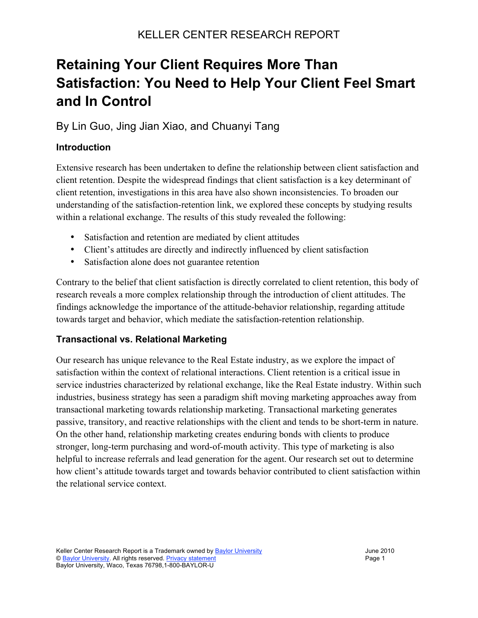## **Retaining Your Client Requires More Than Satisfaction: You Need to Help Your Client Feel Smart and In Control**

## By Lin Guo, Jing Jian Xiao, and Chuanyi Tang

#### **Introduction**

Extensive research has been undertaken to define the relationship between client satisfaction and client retention. Despite the widespread findings that client satisfaction is a key determinant of client retention, investigations in this area have also shown inconsistencies. To broaden our understanding of the satisfaction-retention link, we explored these concepts by studying results within a relational exchange. The results of this study revealed the following:

- Satisfaction and retention are mediated by client attitudes
- Client's attitudes are directly and indirectly influenced by client satisfaction
- Satisfaction alone does not guarantee retention

Contrary to the belief that client satisfaction is directly correlated to client retention, this body of research reveals a more complex relationship through the introduction of client attitudes. The findings acknowledge the importance of the attitude-behavior relationship, regarding attitude towards target and behavior, which mediate the satisfaction-retention relationship.

#### **Transactional vs. Relational Marketing**

Our research has unique relevance to the Real Estate industry, as we explore the impact of satisfaction within the context of relational interactions. Client retention is a critical issue in service industries characterized by relational exchange, like the Real Estate industry. Within such industries, business strategy has seen a paradigm shift moving marketing approaches away from transactional marketing towards relationship marketing. Transactional marketing generates passive, transitory, and reactive relationships with the client and tends to be short-term in nature. On the other hand, relationship marketing creates enduring bonds with clients to produce stronger, long-term purchasing and word-of-mouth activity. This type of marketing is also helpful to increase referrals and lead generation for the agent. Our research set out to determine how client's attitude towards target and towards behavior contributed to client satisfaction within the relational service context.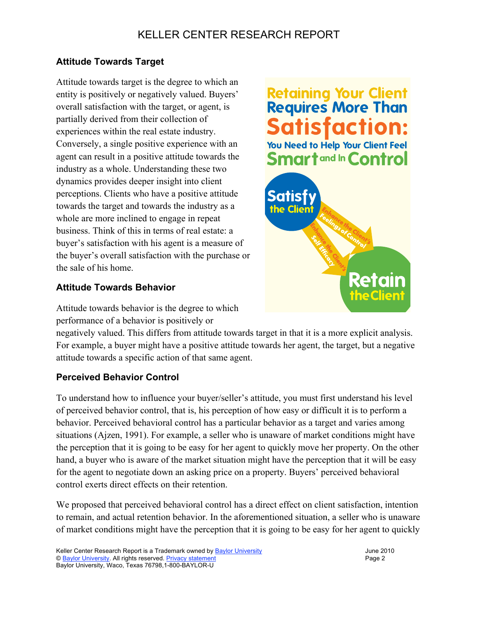## KELLER CENTER RESEARCH REPORT

#### **Attitude Towards Target**

Attitude towards target is the degree to which an entity is positively or negatively valued. Buyers' overall satisfaction with the target, or agent, is partially derived from their collection of experiences within the real estate industry. Conversely, a single positive experience with an agent can result in a positive attitude towards the industry as a whole. Understanding these two dynamics provides deeper insight into client perceptions. Clients who have a positive attitude towards the target and towards the industry as a whole are more inclined to engage in repeat business. Think of this in terms of real estate: a buyer's satisfaction with his agent is a measure of the buyer's overall satisfaction with the purchase or the sale of his home.

# **Retaining Your Client Requires More Than** You Need to Help Your Client Feel **Smartand In Control**



#### **Attitude Towards Behavior**

Attitude towards behavior is the degree to which performance of a behavior is positively or

negatively valued. This differs from attitude towards target in that it is a more explicit analysis. For example, a buyer might have a positive attitude towards her agent, the target, but a negative attitude towards a specific action of that same agent.

### **Perceived Behavior Control**

To understand how to influence your buyer/seller's attitude, you must first understand his level of perceived behavior control, that is, his perception of how easy or difficult it is to perform a behavior. Perceived behavioral control has a particular behavior as a target and varies among situations (Ajzen, 1991). For example, a seller who is unaware of market conditions might have the perception that it is going to be easy for her agent to quickly move her property. On the other hand, a buyer who is aware of the market situation might have the perception that it will be easy for the agent to negotiate down an asking price on a property. Buyers' perceived behavioral control exerts direct effects on their retention.

We proposed that perceived behavioral control has a direct effect on client satisfaction, intention to remain, and actual retention behavior. In the aforementioned situation, a seller who is unaware of market conditions might have the perception that it is going to be easy for her agent to quickly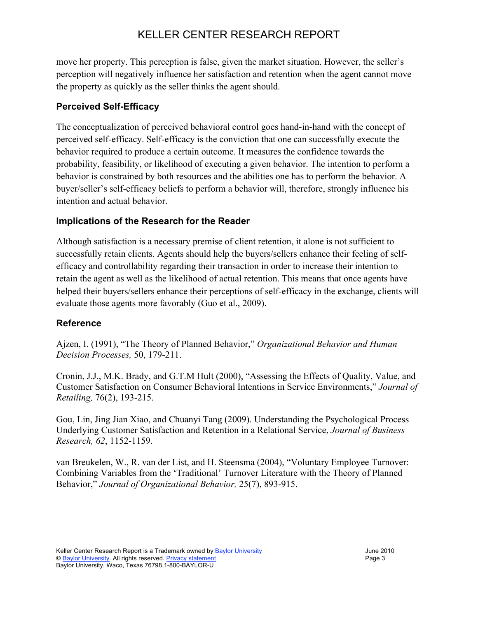## KELLER CENTER RESEARCH REPORT

move her property. This perception is false, given the market situation. However, the seller's perception will negatively influence her satisfaction and retention when the agent cannot move the property as quickly as the seller thinks the agent should.

#### **Perceived Self-Efficacy**

The conceptualization of perceived behavioral control goes hand-in-hand with the concept of perceived self-efficacy. Self-efficacy is the conviction that one can successfully execute the behavior required to produce a certain outcome. It measures the confidence towards the probability, feasibility, or likelihood of executing a given behavior. The intention to perform a behavior is constrained by both resources and the abilities one has to perform the behavior. A buyer/seller's self-efficacy beliefs to perform a behavior will, therefore, strongly influence his intention and actual behavior.

#### **Implications of the Research for the Reader**

Although satisfaction is a necessary premise of client retention, it alone is not sufficient to successfully retain clients. Agents should help the buyers/sellers enhance their feeling of selfefficacy and controllability regarding their transaction in order to increase their intention to retain the agent as well as the likelihood of actual retention. This means that once agents have helped their buyers/sellers enhance their perceptions of self-efficacy in the exchange, clients will evaluate those agents more favorably (Guo et al., 2009).

#### **Reference**

Ajzen, I. (1991), "The Theory of Planned Behavior," *Organizational Behavior and Human Decision Processes,* 50, 179-211.

Cronin, J.J., M.K. Brady, and G.T.M Hult (2000), "Assessing the Effects of Quality, Value, and Customer Satisfaction on Consumer Behavioral Intentions in Service Environments," *Journal of Retailing,* 76(2), 193-215.

Gou, Lin, Jing Jian Xiao, and Chuanyi Tang (2009). Understanding the Psychological Process Underlying Customer Satisfaction and Retention in a Relational Service, *Journal of Business Research, 62*, 1152-1159.

van Breukelen, W., R. van der List, and H. Steensma (2004), "Voluntary Employee Turnover: Combining Variables from the 'Traditional' Turnover Literature with the Theory of Planned Behavior," *Journal of Organizational Behavior,* 25(7), 893-915.